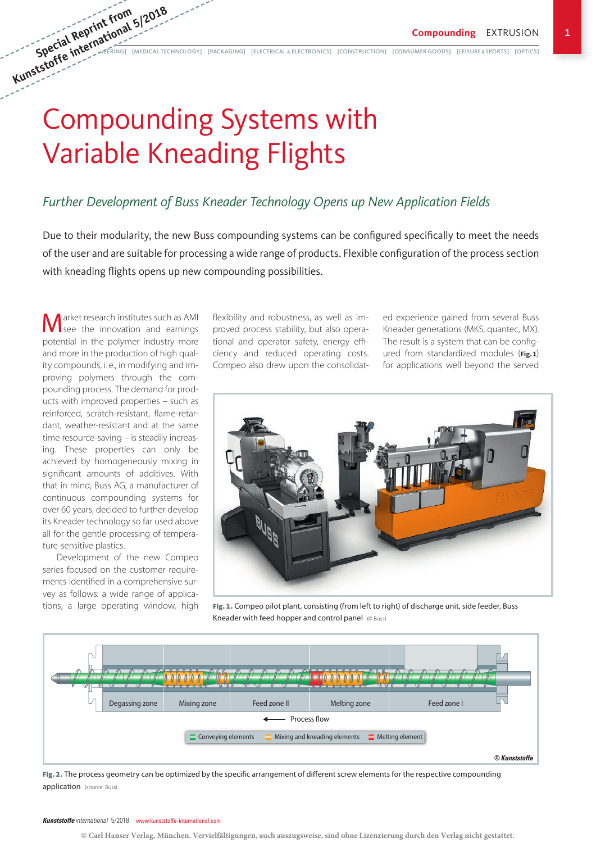# Compounding Systems with Variable Kneading Flights

### *Further Development of Buss Kneader Technology Opens up New Application Fields*

Due to their modularity, the new Buss compounding systems can be configured specifically to meet the needs of the user and are suitable for processing a wide range of products. Flexible configuration of the process section with kneading flights opens up new compounding possibilities.

arket research institutes such as AMI  $\sqrt{\phantom{a}}$  see the innovation and earnings potential in the polymer industry more and more in the production of high quality compounds, i. e., in modifying and improving polymers through the compounding process. The demand for products with improved properties – such as reinforced, scratch-resistant, flame-retardant, weather-resistant and at the same time resource-saving – is steadily increasing. These properties can only be achieved by homogeneously mixing in significant amounts of additives. With that in mind, Buss AG, a manufacturer of continuous compounding systems for over 60 years, decided to further develop its Kneader technology so far used above all for the gentle processing of temperature-sensitive plastics.

Development of the new Compeo series focused on the customer requirements identified in a comprehensive survey as follows: a wide range of applications, a large operating window, high

flexibility and robustness, as well as improved process stability, but also operational and operator safety, energy efficiency and reduced operating costs. Compeo also drew upon the consolidat-

ed experience gained from several Buss Kneader generations (MKS, quantec, MX). The result is a system that can be configured from standardized modules (**Fig.1**) for applications well beyond the served



Fig. 1. Compeo pilot plant, consisting (from left to right) of discharge unit, side feeder, Buss Kneader with feed hopper and control panel (© Buss)



Fig. 2. The process geometry can be optimized by the specific arrangement of different screw elements for the respective compounding application (source: Buss)

**© Carl Hanser Verlag, München. Vervielfältigungen, auch auszugsweise, sind ohne Lizenzierung durch den Verlag nicht gestattet.**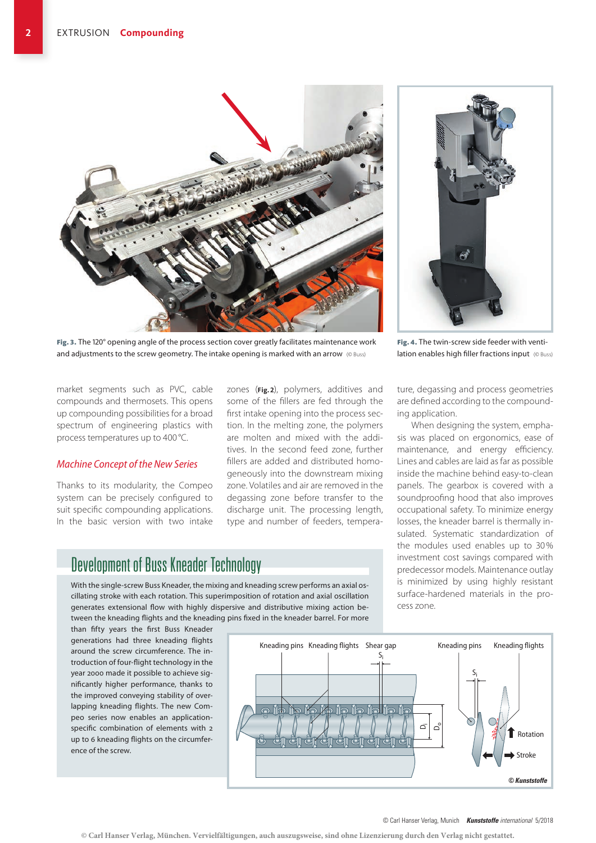

Fig. 3. The 120° opening angle of the process section cover greatly facilitates maintenance work and adjustments to the screw geometry. The intake opening is marked with an arrow ( $\circ$  Buss)

market segments such as PVC, cable compounds and thermosets. This opens up compounding possibilities for a broad spectrum of engineering plastics with process temperatures up to 400 °C.

#### *Machine Concept of the New Series*

ence of the screw.

Thanks to its modularity, the Compeo system can be precisely configured to suit specific compounding applications. In the basic version with two intake zones (**Fig. 2**), polymers, additives and some of the fillers are fed through the first intake opening into the process section. In the melting zone, the polymers are molten and mixed with the additives. In the second feed zone, further fillers are added and distributed homogeneously into the downstream mixing zone. Volatiles and air are removed in the degassing zone before transfer to the discharge unit. The processing length, type and number of feeders, tempera-

## Development of Buss Kneader Technology

With the single-screw Buss Kneader, the mixing and kneading screw performs an axial oscillating stroke with each rotation. This superimposition of rotation and axial oscillation generates extensional flow with highly dispersive and distributive mixing action between the kneading flights and the kneading pins fixed in the kneader barrel. For more



Fig. 4. The twin-screw side feeder with ventilation enables high filler fractions input (© Buss)

ture, degassing and process geometries are defined according to the compounding application.

When designing the system, emphasis was placed on ergonomics, ease of maintenance, and energy efficiency. Lines and cables are laid as far as possible inside the machine behind easy-to-clean panels. The gearbox is covered with a soundproofing hood that also improves occupational safety. To minimize energy losses, the kneader barrel is thermally insulated. Systematic standardization of the modules used enables up to 30% investment cost savings compared with predecessor models. Maintenance outlay is minimized by using highly resistant surface-hardened materials in the process zone.



**<sup>©</sup> Carl Hanser Verlag, München. Vervielfältigungen, auch auszugsweise, sind ohne Lizenzierung durch den Verlag nicht gestattet.**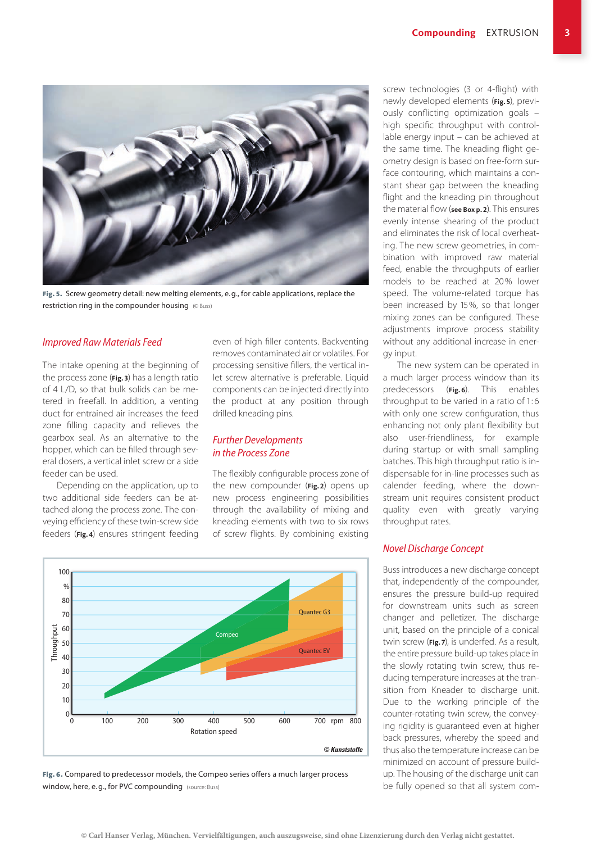

Fig. 5. Screw geometry detail: new melting elements, e.g., for cable applications, replace the restriction ring in the compounder housing (© Buss)

#### *Improved Raw Materials Feed*

The intake opening at the beginning of the process zone (**Fig.3**) has a length ratio of 4 L/D, so that bulk solids can be metered in freefall. In addition, a venting duct for entrained air increases the feed zone filling capacity and relieves the gearbox seal. As an alternative to the hopper, which can be filled through several dosers, a vertical inlet screw or a side feeder can be used.

Depending on the application, up to two additional side feeders can be attached along the process zone. The conveying efficiency of these twin-screw side feeders (**Fig.4**) ensures stringent feeding even of high filler contents. Backventing removes contaminated air or volatiles. For processing sensitive fillers, the vertical inlet screw alternative is preferable. Liquid components can be injected directly into the product at any position through drilled kneading pins.

#### *Further Developments in the Process Zone*

The flexibly configurable process zone of the new compounder (**Fig.2**) opens up new process engineering possibilities through the availability of mixing and kneading elements with two to six rows of screw flights. By combining existing



Fig. 6. Compared to predecessor models, the Compeo series offers a much larger process window, here, e.g., for PVC compounding (source: Buss)

screw technologies (3 or 4-flight) with newly developed elements (**Fig.5**), previously conflicting optimization goals – high specific throughput with controllable energy input – can be achieved at the same time. The kneading flight geometry design is based on free-form surface contouring, which maintains a constant shear gap between the kneading flight and the kneading pin throughout the material flow (**see Box p.2**). This ensures evenly intense shearing of the product and eliminates the risk of local overheating. The new screw geometries, in combination with improved raw material feed, enable the throughputs of earlier models to be reached at 20% lower speed. The volume-related torque has been increased by 15%, so that longer mixing zones can be configured. These adjustments improve process stability without any additional increase in energy input.

The new system can be operated in a much larger process window than its predecessors (**Fig. 6**). This enables throughput to be varied in a ratio of 1:6 with only one screw configuration, thus enhancing not only plant flexibility but also user-friendliness, for example during startup or with small sampling batches. This high throughput ratio is indispensable for in-line processes such as calender feeding, where the downstream unit requires consistent product quality even with greatly varying throughput rates.

#### *Novel Discharge Concept*

Buss introduces a new discharge concept that, independently of the compounder, ensures the pressure build-up required for downstream units such as screen changer and pelletizer. The discharge unit, based on the principle of a conical twin screw (**Fig.7**), is underfed. As a result, the entire pressure build-up takes place in the slowly rotating twin screw, thus reducing temperature increases at the transition from Kneader to discharge unit. Due to the working principle of the counter-rotating twin screw, the conveying rigidity is guaranteed even at higher back pressures, whereby the speed and thus also the temperature increase can be minimized on account of pressure buildup. The housing of the discharge unit can be fully opened so that all system com